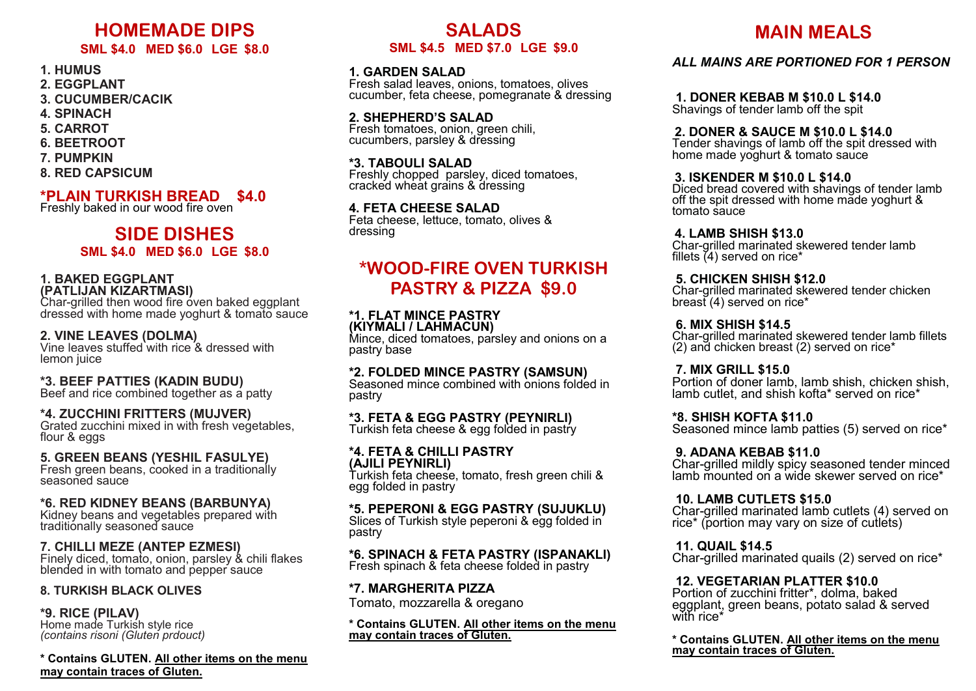# **HOMEMADE DIPS**

# **SML \$4.0 MED \$6.0 LGE \$8.0**

## **1. HUMUS**

- **2. EGGPLANT**
- **3. CUCUMBER/CACIK**
- **4. SPINACH**
- **5. CARROT**
- **6. BEETROOT**
- **7. PUMPKIN**
- **8. RED CAPSICUM**

# **\*PLAIN TURKISH BREAD \$4.0**

Freshly baked in our wood fire oven

# **SIDE DISHES SML \$4.0 MED \$6.0 LGE \$8.0**

#### **1. BAKED EGGPLANT (PATLIJAN KIZARTMASI)**

Char-grilled then wood fire oven baked eggplant dressed with home made yoghurt & tomato sauce

## **2. VINE LEAVES (DOLMA)**

Vine leaves stuffed with rice & dressed with lemon juice

#### **\*3. BEEF PATTIES (KADIN BUDU)**

Beef and rice combined together as a patty

#### $\overline{a}$ **\*4. ZUCCHINI FRITTERS (MUJVER)**

Grated zucchini mixed in with fresh vegetables, flour & eggs

#### **5. GREEN BEANS (YESHIL FASULYE)**

Fresh green beans, cooked in a traditionally seasoned sauce

## **\*6. RED KIDNEY BEANS (BARBUNYA)**

Kidney beans and vegetables prepared with traditionally seasoned sauce

#### **7. CHILLI MEZE (ANTEP EZMESI)**

Finely diced, tomato, onion, parsley & chili flakes blended in with tomato and pepper sauce

#### **8. TURKISH BLACK OLIVES**

#### **\*9. RICE (PILAV)**

Home made Turkish style rice *(contains risoni (Gluten prdouct)*

**\* Contains GLUTEN. All other items on the menu may contain traces of Gluten.**

# **SALADS SML \$4.5 MED \$7.0 LGE \$9.0**

# **1. GARDEN SALAD**

Fresh salad leaves, onions, tomatoes, olives cucumber, feta cheese, pomegranate & dressing

## **2. SHEPHERD'S SALAD**

Fresh tomatoes, onion, green chili, cucumbers, parsley & dressing

#### **\*3. TABOULI SALAD**

Freshly chopped parsley, diced tomatoes, cracked wheat grains & dressing

#### **4. FETA CHEESE SALAD**

Feta cheese, lettuce, tomato, olives & dressing

# **\*WOOD-FIRE OVEN TURKISH PASTRY & PIZZA \$9.0**

#### **\*1. FLAT MINCE PASTRY (KIYMALI / LAHMACUN)**

Mince, diced tomatoes, parsley and onions on a pastry base

#### **\*2. FOLDED MINCE PASTRY (SAMSUN)**

Seasoned mince combined with onions folded in pastry

# **\*3. FETA & EGG PASTRY (PEYNIRLI)**

Turkish feta cheese & egg folded in pastry

#### **\*4. FETA & CHILLI PASTRY (AJILI PEYNIRLI)**

Turkish feta cheese, tomato, fresh green chili & egg folded in pastry

#### **\*5. PEPERONI & EGG PASTRY (SUJUKLU)**

Slices of Turkish style peperoni & egg folded in pastry

## **\*6. SPINACH & FETA PASTRY (ISPANAKLI)**

Fresh spinach & feta cheese folded in pastry

#### **\*7. MARGHERITA PIZZA**

Tomato, mozzarella & oregano

#### **\* Contains GLUTEN. All other items on the menu may contain traces of Gluten.**

# **MAIN MEALS**

# *ALL MAINS ARE PORTIONED FOR 1 PERSON*

**1. DONER KEBAB M \$10.0 L \$14.0**

Shavings of tender lamb off the spit

#### **2. DONER & SAUCE M \$10.0 L \$14.0**

Tender shavings of lamb off the spit dressed with home made yoghurt & tomato sauce

## **3. ISKENDER M \$10.0 L \$14.0**

Diced bread covered with shavings of tender lamb off the spit dressed with home made yoghurt & tomato sauce

#### **4. LAMB SHISH \$13.0**

Char-grilled marinated skewered tender lamb fillets (4) served on rice\*

#### **5. CHICKEN SHISH \$12.0**

Char-grilled marinated skewered tender chicken breast (4) served on rice\*

#### **6. MIX SHISH \$14.5**

Char-grilled marinated skewered tender lamb fillets (2) and chicken breast (2) served on rice\*

## **7. MIX GRILL \$15.0**

Portion of doner lamb, lamb shish, chicken shish, lamb cutlet, and shish kofta\* served on rice\*

#### **\*8. SHISH KOFTA \$11.0**

Seasoned mince lamb patties (5) served on rice\*

#### **9. ADANA KEBAB \$11.0**

Char-grilled mildly spicy seasoned tender minced lamb mounted on a wide skewer served on rice\*

## **10. LAMB CUTLETS \$15.0**

Char-grilled marinated lamb cutlets (4) served on rice<sup>\*</sup> (portion may vary on size of cutlets)

#### **11. QUAIL \$14.5**

Char-grilled marinated quails (2) served on rice\*

## **12. VEGETARIAN PLATTER \$10.0**

Portion of zucchini fritter\*, dolma, baked eggplant, green beans, potato salad & served with rice\*

**\* Contains GLUTEN. All other items on the menu may contain traces of Gluten.**